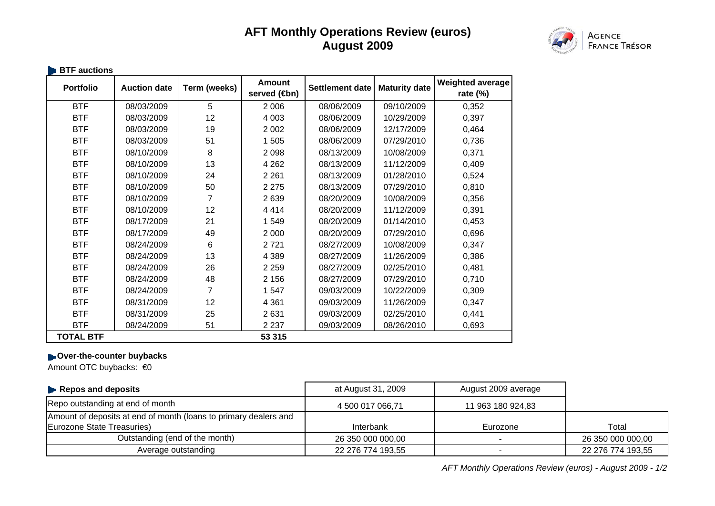## **AFT Monthly Operations Review (euros) August 2009**



| <b>Portfolio</b> | <b>Auction date</b> | Term (weeks) | <b>Amount</b><br>served ( <del>t</del> on) | <b>Settlement date</b> | <b>Maturity date</b> | Weighted average<br>rate $(\%)$ |
|------------------|---------------------|--------------|--------------------------------------------|------------------------|----------------------|---------------------------------|
| <b>BTF</b>       | 08/03/2009          | 5            | 2 0 0 6                                    | 08/06/2009             | 09/10/2009           | 0,352                           |
| <b>BTF</b>       | 08/03/2009          | 12           | 4 0 0 3                                    | 08/06/2009             | 10/29/2009           | 0,397                           |
| <b>BTF</b>       | 08/03/2009          | 19           | 2 0 0 2                                    | 08/06/2009             | 12/17/2009           | 0,464                           |
| <b>BTF</b>       | 08/03/2009          | 51           | 1 5 0 5                                    | 08/06/2009             | 07/29/2010           | 0,736                           |
| <b>BTF</b>       | 08/10/2009          | 8            | 2 0 9 8                                    | 08/13/2009             | 10/08/2009           | 0,371                           |
| <b>BTF</b>       | 08/10/2009          | 13           | 4 2 6 2                                    | 08/13/2009             | 11/12/2009           | 0,409                           |
| <b>BTF</b>       | 08/10/2009          | 24           | 2 2 6 1                                    | 08/13/2009             | 01/28/2010           | 0,524                           |
| <b>BTF</b>       | 08/10/2009          | 50           | 2 2 7 5                                    | 08/13/2009             | 07/29/2010           | 0,810                           |
| <b>BTF</b>       | 08/10/2009          | 7            | 2639                                       | 08/20/2009             | 10/08/2009           | 0,356                           |
| <b>BTF</b>       | 08/10/2009          | 12           | 4414                                       | 08/20/2009             | 11/12/2009           | 0,391                           |
| <b>BTF</b>       | 08/17/2009          | 21           | 1549                                       | 08/20/2009             | 01/14/2010           | 0,453                           |
| <b>BTF</b>       | 08/17/2009          | 49           | 2 0 0 0                                    | 08/20/2009             | 07/29/2010           | 0,696                           |
| <b>BTF</b>       | 08/24/2009          | 6            | 2721                                       | 08/27/2009             | 10/08/2009           | 0,347                           |
| <b>BTF</b>       | 08/24/2009          | 13           | 4 3 8 9                                    | 08/27/2009             | 11/26/2009           | 0,386                           |
| <b>BTF</b>       | 08/24/2009          | 26           | 2 2 5 9                                    | 08/27/2009             | 02/25/2010           | 0,481                           |
| <b>BTF</b>       | 08/24/2009          | 48           | 2 1 5 6                                    | 08/27/2009             | 07/29/2010           | 0,710                           |
| <b>BTF</b>       | 08/24/2009          | 7            | 1547                                       | 09/03/2009             | 10/22/2009           | 0,309                           |
| <b>BTF</b>       | 08/31/2009          | 12           | 4 3 6 1                                    | 09/03/2009             | 11/26/2009           | 0,347                           |
| <b>BTF</b>       | 08/31/2009          | 25           | 2631                                       | 09/03/2009             | 02/25/2010           | 0,441                           |
| <b>BTF</b>       | 08/24/2009          | 51           | 2 2 3 7                                    | 09/03/2009             | 08/26/2010           | 0,693                           |
| <b>TOTAL BTF</b> |                     |              | 53 315                                     |                        |                      |                                 |

## **Diver-the-counter buybacks**

Amount OTC buybacks: €0

| $\blacktriangleright$ Repos and deposits                         | at August 31, 2009 | August 2009 average |                   |
|------------------------------------------------------------------|--------------------|---------------------|-------------------|
| Repo outstanding at end of month                                 | 4 500 017 066,71   | 11 963 180 924,83   |                   |
| Amount of deposits at end of month (loans to primary dealers and |                    |                     |                   |
| Eurozone State Treasuries)                                       | Interbank          | Eurozone            | Total             |
| Outstanding (end of the month)                                   | 26 350 000 000,00  |                     | 26 350 000 000,00 |
| Average outstanding                                              | 22 276 774 193,55  |                     | 22 276 774 193,55 |

*AFT Monthly Operations Review (euros) - August 2009 - 1/2*